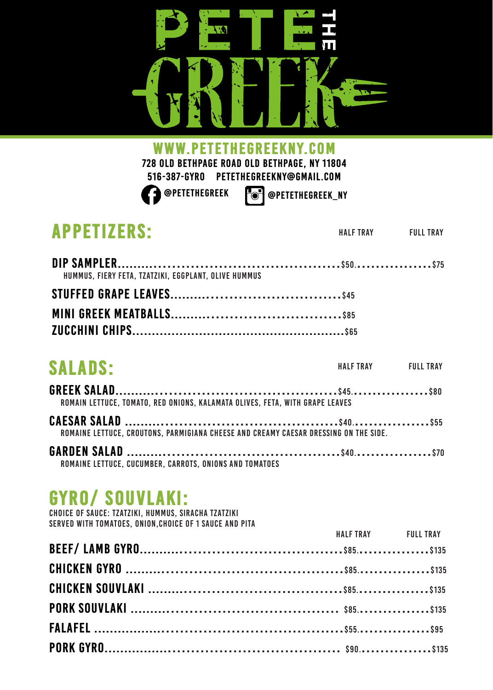

www.petethegreekny.com

**728 old Bethpage road old Bethpage, ny 11804 516-387-GYRO petethegreekny@gmail.com** 

**@Petethegreek @petethegreek\_ny**

| <b>APPETIZERS:</b>                                                                   | HALF TRAY FULL TRAY |
|--------------------------------------------------------------------------------------|---------------------|
|                                                                                      |                     |
| HUMMUS. FIERY FETA. TZATZIKI. EGGPLANT. OLIVE HUMMUS                                 |                     |
|                                                                                      |                     |
|                                                                                      |                     |
|                                                                                      |                     |
| <b>SALADS:</b>                                                                       | HALF TRAY FULL TRAY |
| ROMAIN LETTUCE. TOMATO. RED ONIONS. KALAMATA OLIVES. FETA. WITH GRAPE LEAVES         |                     |
| ROMAINE LETTUCE, CROUTONS, PARMIGIANA CHEESE AND CREAMY CAESAR DRESSING ON THE SIDE. |                     |
| <b>CADDEN CALAD</b>                                                                  |                     |

**garden Salad .........**......................................\$40.................\$70 Romaine lettuce, cucumber, carrots, onions and tomatoes

## Gyro/ souvlaki:

Choice of Sauce: Tzatziki, hummus, Siracha Tzatziki Served with tomatoes, onion,choice of 1 sauce and pita

| <b>HALF TRAY</b> FULL TRAY |  |
|----------------------------|--|
|                            |  |
|                            |  |
|                            |  |
|                            |  |
|                            |  |
|                            |  |
|                            |  |